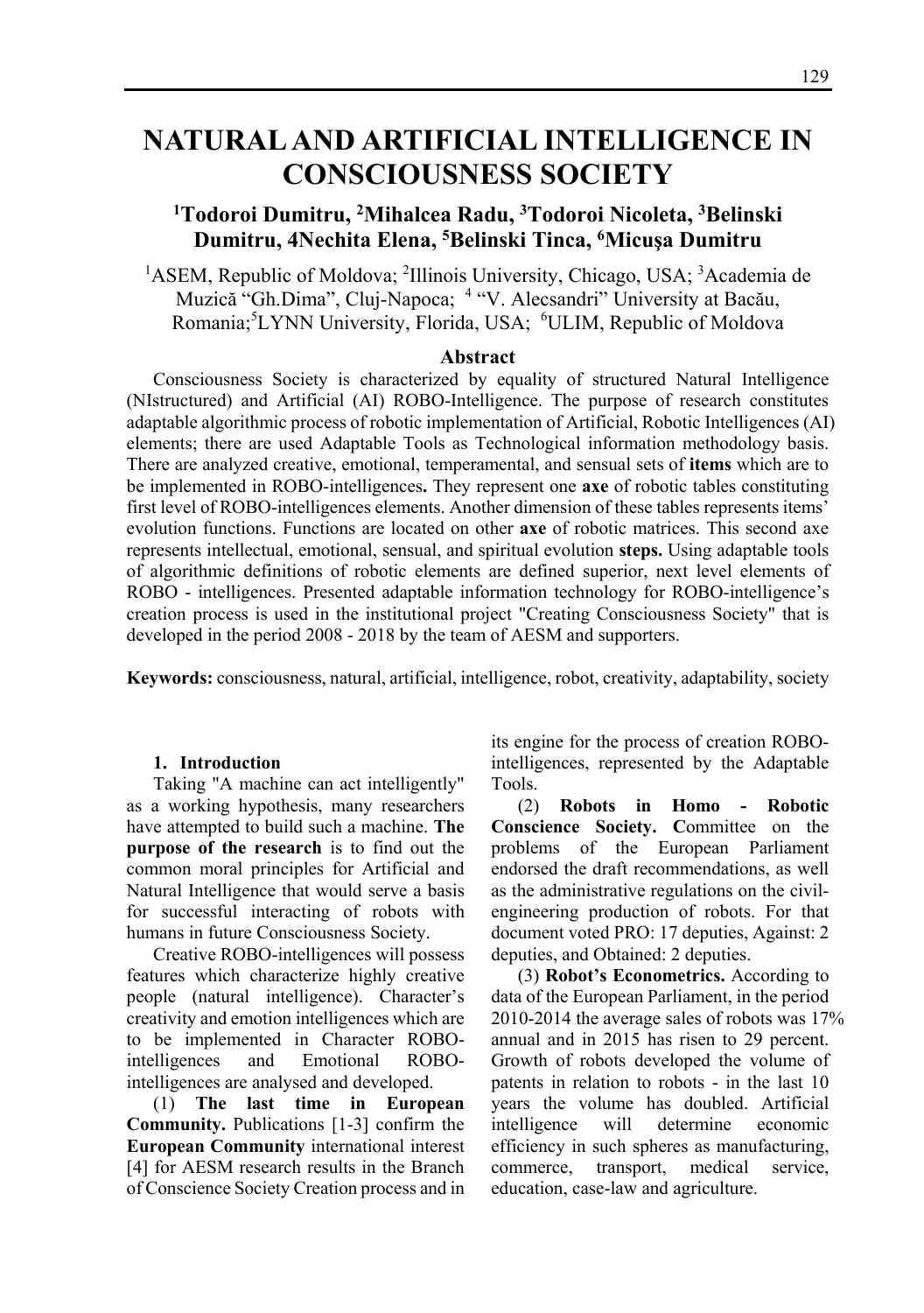# **NATURAL AND ARTIFICIAL INTELLIGENCE IN CONSCIOUSNESS SOCIETY**

## **1 Todoroi Dumitru, 2 Mihalcea Radu, 3 Todoroi Nicoleta, 3 Belinski Dumitru, 4Nechita Elena, 5 Belinski Tinca, 6Micuşa Dumitru**

<sup>1</sup>ASEM, Republic of Moldova; <sup>2</sup>Illinois University, Chicago, USA; <sup>3</sup>Academia de Muzică "Gh.Dima", Cluj-Napoca; <sup>4</sup> "V. Alecsandri" University at Bacău, Romania;<sup>5</sup>LYNN University, Florida, USA; <sup>6</sup>ULIM, Republic of Moldova

#### **Abstract**

Consciousness Society is characterized by equality of structured Natural Intelligence (NIstructured) and Artificial (AI) ROBO-Intelligence. The purpose of research constitutes adaptable algorithmic process of robotic implementation of Artificial, Robotic Intelligences (AI) elements; there are used Adaptable Tools as Technological information methodology basis. There are analyzed creative, emotional, temperamental, and sensual sets of **items** which are to be implemented in ROBO-intelligences**.** They represent one **axe** of robotic tables constituting first level of ROBO-intelligences elements. Another dimension of these tables represents items' evolution functions. Functions are located on other **axe** of robotic matrices. This second axe represents intellectual, emotional, sensual, and spiritual evolution **steps.** Using adaptable tools of algorithmic definitions of robotic elements are defined superior, next level elements of ROBO - intelligences. Presented adaptable information technology for ROBO-intelligence's creation process is used in the institutional project "Creating Consciousness Society" that is developed in the period 2008 - 2018 by the team of AESM and supporters.

**Keywords:** consciousness, natural, artificial, intelligence, robot, creativity, adaptability, society

#### **1. Introduction**

Taking "A machine can act intelligently" as a working hypothesis, many researchers have attempted to build such a machine. **The purpose of the research** is to find out the common moral principles for Artificial and Natural Intelligence that would serve a basis for successful interacting of robots with humans in future Consciousness Society.

Creative ROBO-intelligences will possess features which characterize highly creative people (natural intelligence). Character's creativity and emotion intelligences which are to be implemented in Character ROBOintelligences and Emotional ROBOintelligences are analysed and developed.

(1) **The last time in European Community.** Publications [1-3] confirm the **European Community** international interest [4] for AESM research results in the Branch of Conscience Society Creation process and in

its engine for the process of creation ROBOintelligences, represented by the Adaptable Tools.

(2) **Robots in Homo - Robotic Conscience Society. C**ommittee on the problems of the European Parliament endorsed the draft recommendations, as well as the administrative regulations on the civilengineering production of robots. For that document voted PRO: 17 deputies, Against: 2 deputies, and Obtained: 2 deputies.

(3) **Robot's Econometrics.** According to data of the European Parliament, in the period 2010-2014 the average sales of robots was 17% annual and in 2015 has risen to 29 percent. Growth of robots developed the volume of patents in relation to robots - in the last 10 years the volume has doubled. Artificial intelligence will determine economic efficiency in such spheres as manufacturing, commerce, transport, medical service, education, case-law and agriculture.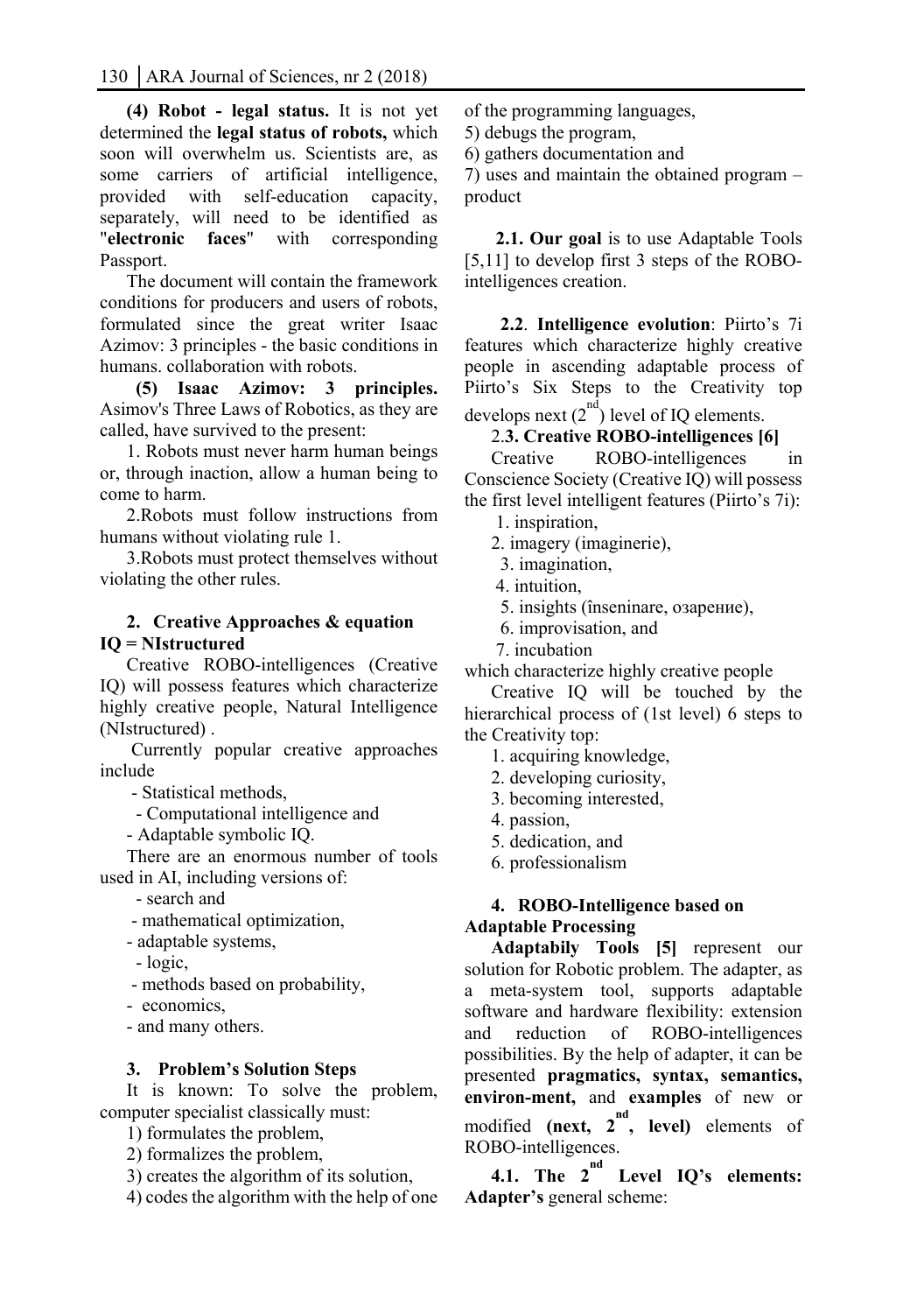**(4) Robot - legal status.** It is not yet determined the **legal status of robots,** which soon will overwhelm us. Scientists are, as some carriers of artificial intelligence, provided with self-education capacity, separately, will need to be identified as "**electronic faces**" with corresponding Passport.

The document will contain the framework conditions for producers and users of robots, formulated since the great writer Isaac Azimov: 3 principles - the basic conditions in humans. collaboration with robots.

 **(5) Isaac Azimov: 3 principles.**  Asimov's Three Laws of Robotics, as they are called, have survived to the present:

1. Robots must never harm human beings or, through inaction, allow a human being to come to harm.

2.Robots must follow instructions from humans without violating rule 1.

3.Robots must protect themselves without violating the other rules.

#### **2. Creative Approaches & equation IQ = NIstructured**

Creative ROBO-intelligences (Creative IQ) will possess features which characterize highly creative people, Natural Intelligence (NIstructured) .

 Currently popular creative approaches include

- Statistical methods,

- Computational intelligence and

- Adaptable symbolic IQ.

There are an enormous number of tools used in AI, including versions of:

- search and

- mathematical optimization,

- adaptable systems,

- logic,

- methods based on probability,

- economics,

- and many others.

#### **3. Problem's Solution Steps**

It is known: To solve the problem, computer specialist classically must:

1) formulates the problem,

2) formalizes the problem,

3) creates the algorithm of its solution,

4) codes the algorithm with the help of one

of the programming languages,

5) debugs the program,

6) gathers documentation and

7) uses and maintain the obtained program – product

 **2.1. Our goal** is to use Adaptable Tools [5,11] to develop first 3 steps of the ROBOintelligences creation.

 **2.2**. **Intelligence evolution**: Piirto's 7i features which characterize highly creative people in ascending adaptable process of Piirto's Six Steps to the Creativity top develops next  $(2^{nd})$  level of IQ elements.

2.**3. Creative ROBO-intelligences [6]** 

Creative ROBO-intelligences in Conscience Society (Creative IQ) will possess the first level intelligent features (Piirto's 7i):

1. inspiration,

2. imagery (imaginerie),

3. imagination,

4. intuition,

5. insights (înseninare, озарение),

6. improvisation, and

7. incubation

which characterize highly creative people

Creative IQ will be touched by the hierarchical process of (1st level) 6 steps to the Creativity top:

1. acquiring knowledge,

2. developing curiosity,

3. becoming interested,

4. passion,

5. dedication, and

6. professionalism

## **4. ROBO-Intelligence based on Adaptable Processing**

**Adaptabily Tools [5]** represent our solution for Robotic problem. The adapter, as a meta-system tool, supports adaptable software and hardware flexibility: extension and reduction of ROBO-intelligences possibilities. By the help of adapter, it can be presented **pragmatics, syntax, semantics, environ-ment,** and **examples** of new or modified (next,  $2^{nd}$ , level) elements of ROBO-intelligences.

**4.1. The 2nd Level IQ's elements: Adapter's** general scheme: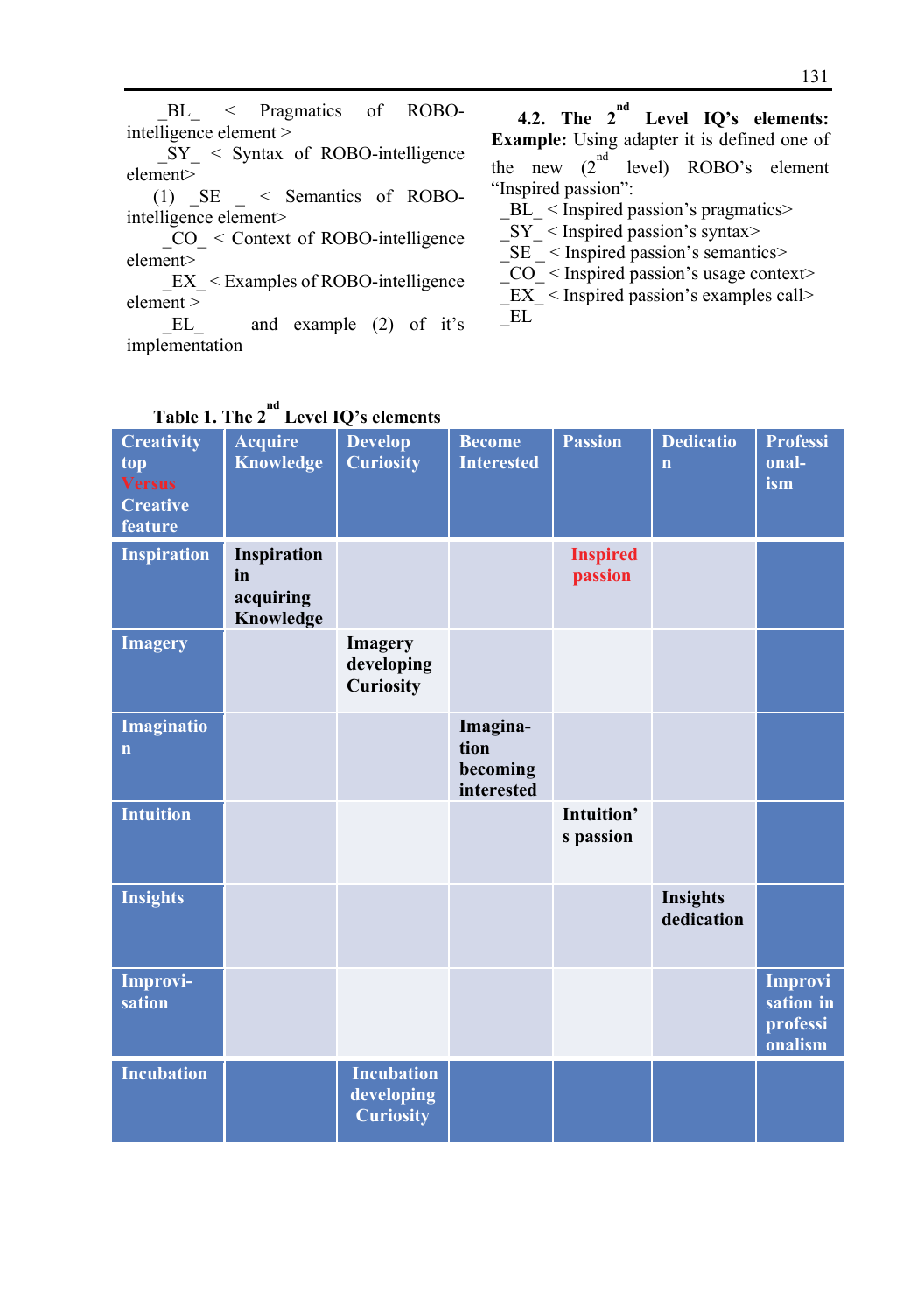$SY \leq$  Syntax of ROBO-intelligence element>

(1) \_SE \_ < Semantics of ROBOintelligence element>

 $CO \leq$  Context of ROBO-intelligence element>

 $EX <$ Examples of ROBO-intelligence  $\rm{element} > \rm{EL}$ 

and example  $(2)$  of it's implementation

**4.2. The 2nd Level IQ's elements: Example:** Using adapter it is defined one of the new  $(2^{nd}$  level) ROBO's element "Inspired passion":

\_BL\_ < Inspired passion's pragmatics>

 $SY$  < Inspired passion's syntax>

 $SE$  < Inspired passion's semantics>

 \_CO\_ < Inspired passion's usage context> \_EX\_ < Inspired passion's examples call>  $EL$ 

| Table 1. The 2                                                          |                                             | Level IQ's elements                                 |                                            |                            |                                 |                                                    |
|-------------------------------------------------------------------------|---------------------------------------------|-----------------------------------------------------|--------------------------------------------|----------------------------|---------------------------------|----------------------------------------------------|
| <b>Creativity</b><br>top<br><b>Versus</b><br><b>Creative</b><br>feature | <b>Acquire</b><br><b>Knowledge</b>          | <b>Develop</b><br><b>Curiosity</b>                  | <b>Become</b><br><b>Interested</b>         | <b>Passion</b>             | <b>Dedicatio</b><br>$\mathbf n$ | <b>Professi</b><br>onal-<br>ism                    |
| <b>Inspiration</b>                                                      | Inspiration<br>in<br>acquiring<br>Knowledge |                                                     |                                            | <b>Inspired</b><br>passion |                                 |                                                    |
| <b>Imagery</b>                                                          |                                             | <b>Imagery</b><br>developing<br>Curiosity           |                                            |                            |                                 |                                                    |
| Imaginatio<br>$\mathbf n$                                               |                                             |                                                     | Imagina-<br>tion<br>becoming<br>interested |                            |                                 |                                                    |
| <b>Intuition</b>                                                        |                                             |                                                     |                                            | Intuition'<br>s passion    |                                 |                                                    |
| <b>Insights</b>                                                         |                                             |                                                     |                                            |                            | Insights<br>dedication          |                                                    |
| Improvi-<br>sation                                                      |                                             |                                                     |                                            |                            |                                 | <b>Improvi</b><br>sation in<br>professi<br>onalism |
| <b>Incubation</b>                                                       |                                             | <b>Incubation</b><br>developing<br><b>Curiosity</b> |                                            |                            |                                 |                                                    |

# Table 1. The 2<sup>nd</sup> Level IQ's elements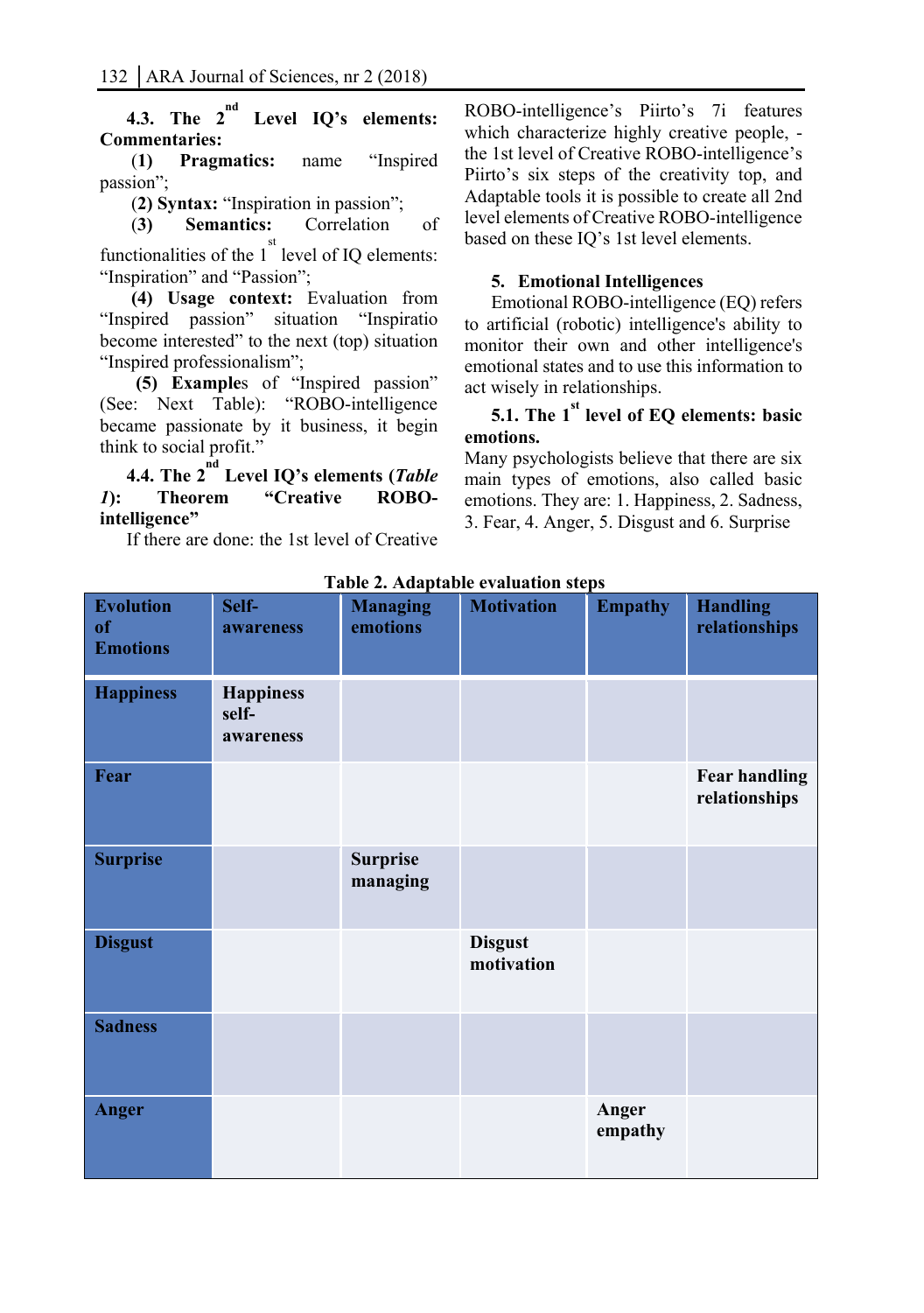**4.3. The 2nd Level IQ's elements: Commentaries:** 

 (**1) Pragmatics:** name "Inspired passion";

(**2) Syntax:** "Inspiration in passion";

 (**3) Semantics:** Correlation of functionalities of the  $1<sup>st</sup>$  level of IQ elements:

"Inspiration" and "Passion";

 **(4) Usage context:** Evaluation from "Inspired passion" situation "Inspiratio become interested" to the next (top) situation "Inspired professionalism";

 **(5) Example**s of "Inspired passion" (See: Next Table): "ROBO-intelligence became passionate by it business, it begin think to social profit."

**4.4. The 2nd Level IQ's elements (***Table 1***): Theorem "Creative ROBOintelligence"** 

If there are done: the 1st level of Creative

ROBO-intelligence's Piirto's 7i features which characterize highly creative people, the 1st level of Creative ROBO-intelligence's Piirto's six steps of the creativity top, and Adaptable tools it is possible to create all 2nd level elements of Creative ROBO-intelligence based on these IQ's 1st level elements.

#### **5. Emotional Intelligences**

Emotional ROBO-intelligence (EQ) refers to artificial (robotic) intelligence's ability to monitor their own and other intelligence's emotional states and to use this information to act wisely in relationships.

## **5.1.** The 1<sup>st</sup> level of EQ elements: basic **emotions.**

Many psychologists believe that there are six main types of emotions, also called basic emotions. They are: 1. Happiness, 2. Sadness, 3. Fear, 4. Anger, 5. Disgust and 6. Surprise

| <b>Evolution</b><br>of<br><b>Emotions</b> | Self-<br>awareness                     | <b>Managing</b><br>emotions | <b>Motivation</b>            | <b>Empathy</b>   | <b>Handling</b><br>relationships      |
|-------------------------------------------|----------------------------------------|-----------------------------|------------------------------|------------------|---------------------------------------|
| <b>Happiness</b>                          | <b>Happiness</b><br>self-<br>awareness |                             |                              |                  |                                       |
| Fear                                      |                                        |                             |                              |                  | <b>Fear handling</b><br>relationships |
| <b>Surprise</b>                           |                                        | <b>Surprise</b><br>managing |                              |                  |                                       |
| <b>Disgust</b>                            |                                        |                             | <b>Disgust</b><br>motivation |                  |                                       |
| <b>Sadness</b>                            |                                        |                             |                              |                  |                                       |
| <b>Anger</b>                              |                                        |                             |                              | Anger<br>empathy |                                       |

**Table 2. Adaptable evaluation steps**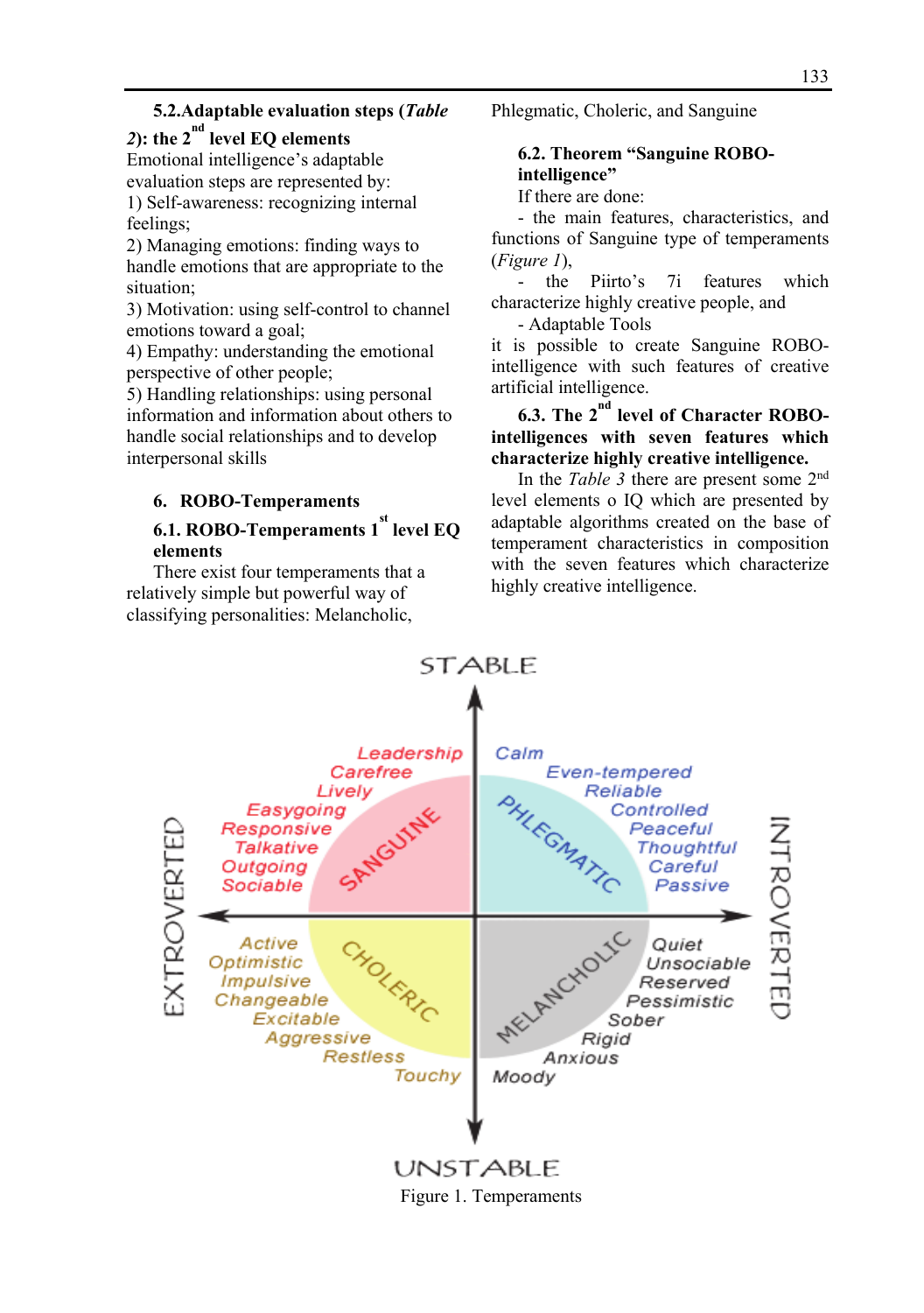#### **5.2.Adaptable evaluation steps (***Table*

# 2): the  $2^{nd}$  level EQ elements

Emotional intelligence's adaptable evaluation steps are represented by: 1) Self-awareness: recognizing internal feelings;

2) Managing emotions: finding ways to handle emotions that are appropriate to the situation;

3) Motivation: using self-control to channel emotions toward a goal;

4) Empathy: understanding the emotional perspective of other people;

5) Handling relationships: using personal information and information about others to handle social relationships and to develop interpersonal skills

#### **6. ROBO-Temperaments**

## **6.1. ROBO-Temperaments 1st level EQ elements**

There exist four temperaments that a relatively simple but powerful way of classifying personalities: Melancholic,

Phlegmatic, Choleric, and Sanguine

#### **6.2. Theorem "Sanguine ROBOintelligence"**

If there are done:

- the main features, characteristics, and functions of Sanguine type of temperaments (*Figure 1*),

the Piirto's 7i features which characterize highly creative people, and

- Adaptable Tools

it is possible to create Sanguine ROBOintelligence with such features of creative artificial intelligence.

**6.3. The 2nd level of Character ROBOintelligences with seven features which characterize highly creative intelligence.** 

In the *Table 3* there are present some 2nd level elements o IQ which are presented by adaptable algorithms created on the base of temperament characteristics in composition with the seven features which characterize highly creative intelligence.

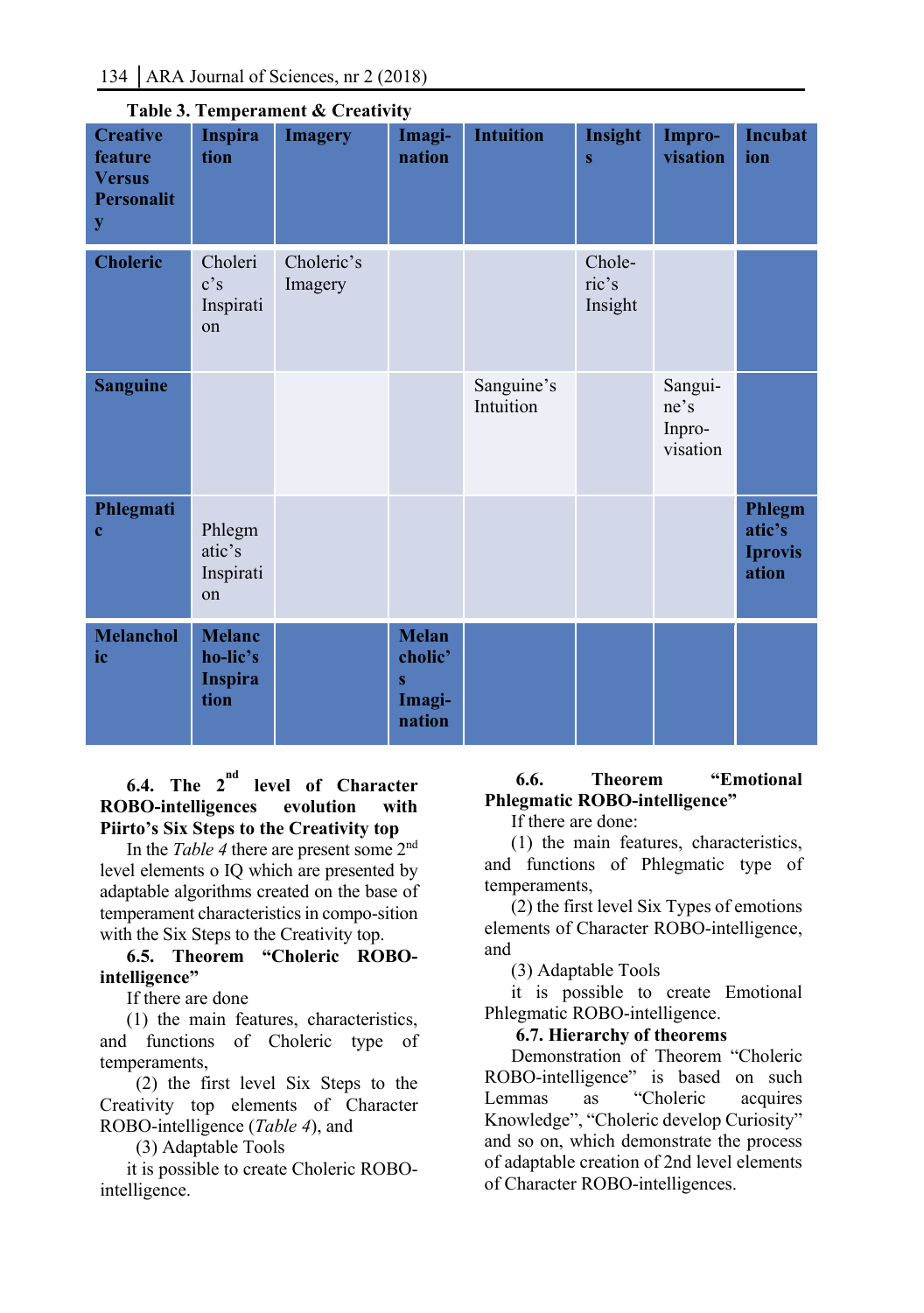| <b>Creative</b><br>feature<br><b>Versus</b><br><b>Personalit</b><br>y | <b>Inspira</b><br>tion                              | Table 5. Temperament & Creativity<br><b>Imagery</b> | Imagi-<br>nation                                        | <b>Intuition</b>        | Insight<br>$\bf{s}$        | Impro-<br>visation                    | <b>Incubat</b><br>ion                       |
|-----------------------------------------------------------------------|-----------------------------------------------------|-----------------------------------------------------|---------------------------------------------------------|-------------------------|----------------------------|---------------------------------------|---------------------------------------------|
| <b>Choleric</b>                                                       | Choleri<br>c's<br>Inspirati<br>on                   | Choleric's<br>Imagery                               |                                                         |                         | Chole-<br>ric's<br>Insight |                                       |                                             |
| <b>Sanguine</b>                                                       |                                                     |                                                     |                                                         | Sanguine's<br>Intuition |                            | Sangui-<br>ne's<br>Inpro-<br>visation |                                             |
| Phlegmati<br>$\mathbf c$                                              | Phlegm<br>atic's<br>Inspirati<br>on                 |                                                     |                                                         |                         |                            |                                       | Phlegm<br>atic's<br><b>Iprovis</b><br>ation |
| <b>Melanchol</b><br>ic                                                | <b>Melanc</b><br>ho-lic's<br><b>Inspira</b><br>tion |                                                     | <b>Melan</b><br>cholic'<br>$\bf{s}$<br>Imagi-<br>nation |                         |                            |                                       |                                             |

# **Table 3. Temperament & Creativity**

## **6.4. The 2nd level of Character ROBO-intelligences evolution with Piirto's Six Steps to the Creativity top**

In the *Table 4* there are present some 2nd level elements o IQ which are presented by adaptable algorithms created on the base of temperament characteristics in compo-sition with the Six Steps to the Creativity top.

## **6.5. Theorem "Choleric ROBOintelligence"**

If there are done

(1) the main features, characteristics, and functions of Choleric type of temperaments,

 (2) the first level Six Steps to the Creativity top elements of Character ROBO-intelligence (*Table 4*), and

(3) Adaptable Tools

it is possible to create Choleric ROBOintelligence.

## **6.6. Theorem "Emotional Phlegmatic ROBO-intelligence"**

If there are done:

(1) the main features, characteristics, and functions of Phlegmatic type of temperaments,

(2) the first level Six Types of emotions elements of Character ROBO-intelligence, and

(3) Adaptable Tools

it is possible to create Emotional Phlegmatic ROBO-intelligence.

## **6.7. Hierarchy of theorems**

Demonstration of Theorem "Choleric ROBO-intelligence" is based on such Lemmas as "Choleric acquires Knowledge", "Choleric develop Curiosity" and so on, which demonstrate the process of adaptable creation of 2nd level elements of Character ROBO-intelligences.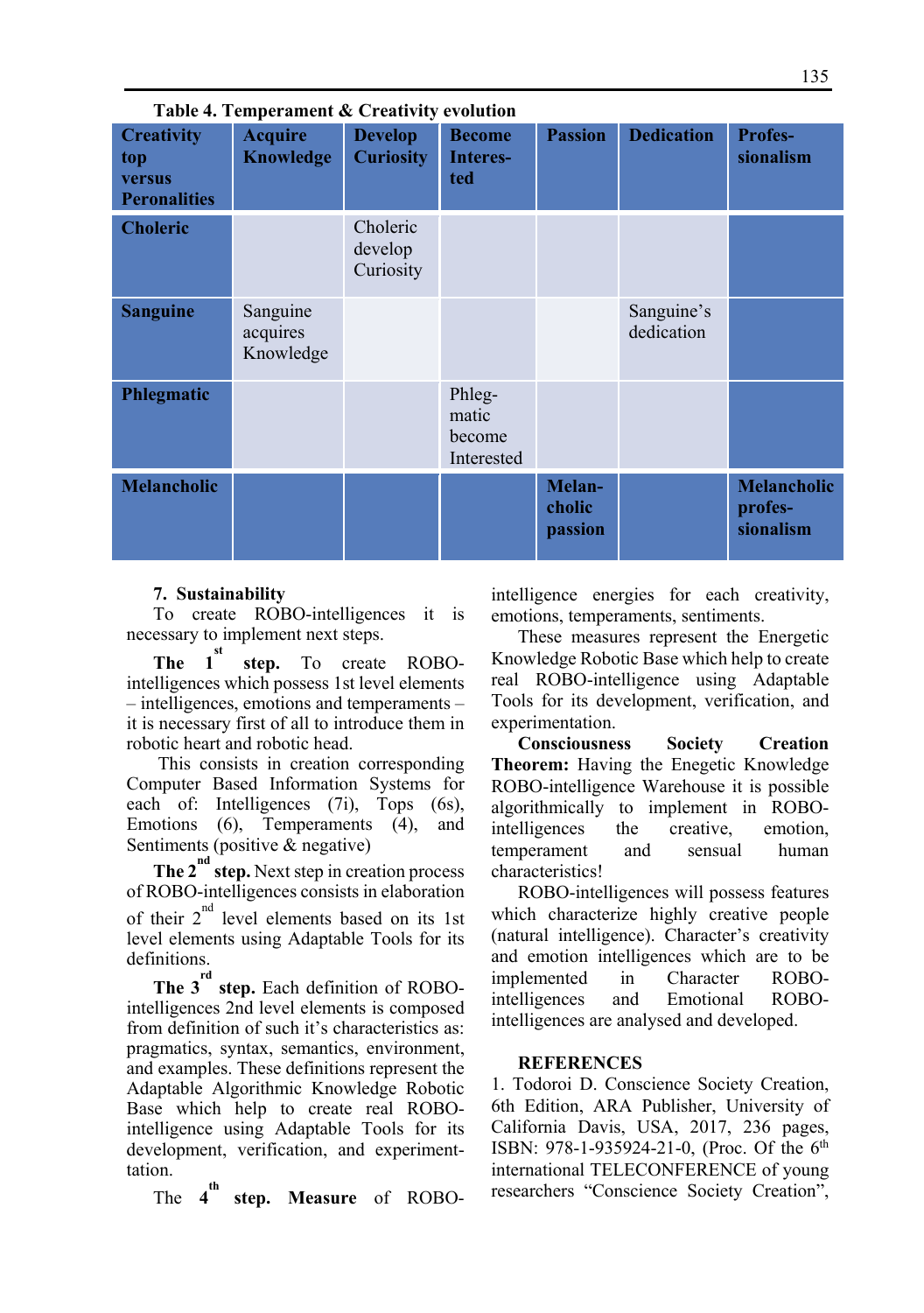| Table 4. Temperament & Creativity evolution               |                                    |                                    |                                         |                             |                          |                                            |  |  |
|-----------------------------------------------------------|------------------------------------|------------------------------------|-----------------------------------------|-----------------------------|--------------------------|--------------------------------------------|--|--|
| <b>Creativity</b><br>top<br>versus<br><b>Peronalities</b> | <b>Acquire</b><br><b>Knowledge</b> | <b>Develop</b><br><b>Curiosity</b> | <b>Become</b><br>Interes-<br>ted        | <b>Passion</b>              | <b>Dedication</b>        | <b>Profes-</b><br>sionalism                |  |  |
| <b>Choleric</b>                                           |                                    | Choleric<br>develop<br>Curiosity   |                                         |                             |                          |                                            |  |  |
| <b>Sanguine</b>                                           | Sanguine<br>acquires<br>Knowledge  |                                    |                                         |                             | Sanguine's<br>dedication |                                            |  |  |
| Phlegmatic                                                |                                    |                                    | Phleg-<br>matic<br>become<br>Interested |                             |                          |                                            |  |  |
| <b>Melancholic</b>                                        |                                    |                                    |                                         | Melan-<br>cholic<br>passion |                          | <b>Melancholic</b><br>profes-<br>sionalism |  |  |

#### **7. Sustainability**

To create ROBO-intelligences it is necessary to implement next steps.

**The**  $1^{\text{st}}$  **step.** To create ROBOintelligences which possess 1st level elements – intelligences, emotions and temperaments – it is necessary first of all to introduce them in robotic heart and robotic head.

 This consists in creation corresponding Computer Based Information Systems for each of: Intelligences (7i), Tops (6s), Emotions (6), Temperaments (4), and Sentiments (positive & negative)

**The 2<sup>nd</sup> step.** Next step in creation process of ROBO-intelligences consists in elaboration of their  $2^{nd}$  level elements based on its 1st level elements using Adaptable Tools for its definitions.

**The 3rd step.** Each definition of ROBOintelligences 2nd level elements is composed from definition of such it's characteristics as: pragmatics, syntax, semantics, environment, and examples. These definitions represent the Adaptable Algorithmic Knowledge Robotic Base which help to create real ROBOintelligence using Adaptable Tools for its development, verification, and experimenttation.

The  $4^{\text{th}}$ **step. Measure** of ROBO-

intelligence energies for each creativity, emotions, temperaments, sentiments.

These measures represent the Energetic Knowledge Robotic Base which help to create real ROBO-intelligence using Adaptable Tools for its development, verification, and experimentation.

**Consciousness Society Creation Theorem:** Having the Enegetic Knowledge ROBO-intelligence Warehouse it is possible algorithmically to implement in ROBOintelligences the creative, emotion, temperament and sensual human characteristics!

ROBO-intelligences will possess features which characterize highly creative people (natural intelligence). Character's creativity and emotion intelligences which are to be implemented in Character ROBOintelligences and Emotional ROBOintelligences are analysed and developed.

#### **REFERENCES**

1. Todoroi D. Conscience Society Creation, 6th Edition, ARA Publisher, University of California Davis, USA, 2017, 236 pages, ISBN: 978-1-935924-21-0, (Proc. Of the 6th international TELECONFERENCE of young researchers "Conscience Society Creation",